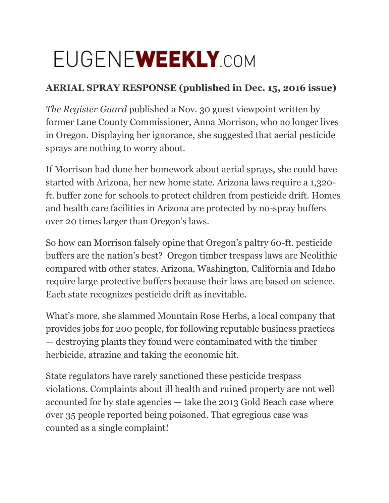## EUGENEWEEKLY.COM

## **AERIAL SPRAY RESPONSE (published in Dec. 15, 2016 issue)**

*The Register Guard* published a Nov. 30 guest viewpoint written by former Lane County Commissioner, Anna Morrison, who no longer lives in Oregon. Displaying her ignorance, she suggested that aerial pesticide sprays are nothing to worry about.

If Morrison had done her homework about aerial sprays, she could have started with Arizona, her new home state. Arizona laws require a 1,320 ft. buffer zone for schools to protect children from pesticide drift. Homes and health care facilities in Arizona are protected by no-spray buffers over 20 times larger than Oregon's laws.

So how can Morrison falsely opine that Oregon's paltry 60-ft. pesticide buffers are the nation's best? Oregon timber trespass laws are Neolithic compared with other states. Arizona, Washington, California and Idaho require large protective buffers because their laws are based on science. Each state recognizes pesticide drift as inevitable.

What's more, she slammed Mountain Rose Herbs, a local company that provides jobs for 200 people, for following reputable business practices — destroying plants they found were contaminated with the timber herbicide, atrazine and taking the economic hit.

State regulators have rarely sanctioned these pesticide trespass violations. Complaints about ill health and ruined property are not well accounted for by state agencies — take the 2013 Gold Beach case where over 35 people reported being poisoned. That egregious case was counted as a single complaint!